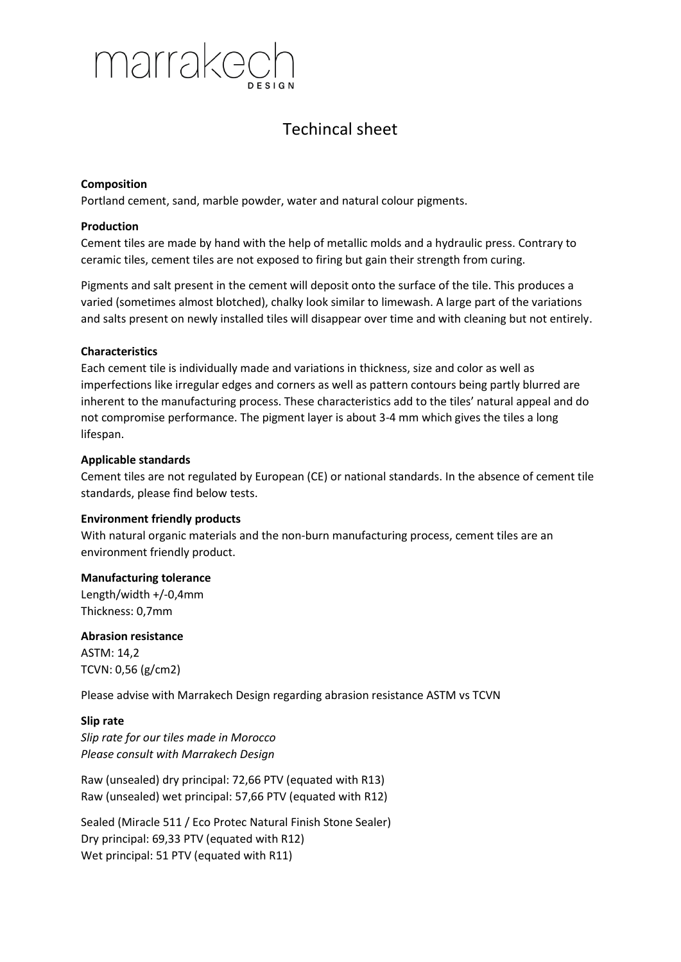

# Techincal sheet

### **Composition**

Portland cement, sand, marble powder, water and natural colour pigments.

### **Production**

Cement tiles are made by hand with the help of metallic molds and a hydraulic press. Contrary to ceramic tiles, cement tiles are not exposed to firing but gain their strength from curing.

Pigments and salt present in the cement will deposit onto the surface of the tile. This produces a varied (sometimes almost blotched), chalky look similar to limewash. A large part of the variations and salts present on newly installed tiles will disappear over time and with cleaning but not entirely.

### **Characteristics**

Each cement tile is individually made and variations in thickness, size and color as well as imperfections like irregular edges and corners as well as pattern contours being partly blurred are inherent to the manufacturing process. These characteristics add to the tiles' natural appeal and do not compromise performance. The pigment layer is about 3-4 mm which gives the tiles a long lifespan.

### **Applicable standards**

Cement tiles are not regulated by European (CE) or national standards. In the absence of cement tile standards, please find below tests.

### **Environment friendly products**

With natural organic materials and the non-burn manufacturing process, cement tiles are an environment friendly product.

### **Manufacturing tolerance**

Length/width +/-0,4mm Thickness: 0,7mm

**Abrasion resistance** ASTM: 14,2 TCVN: 0,56 (g/cm2)

Please advise with Marrakech Design regarding abrasion resistance ASTM vs TCVN

### **Slip rate**

*Slip rate for our tiles made in Morocco Please consult with Marrakech Design*

Raw (unsealed) dry principal: 72,66 PTV (equated with R13) Raw (unsealed) wet principal: 57,66 PTV (equated with R12)

Sealed (Miracle 511 / Eco Protec Natural Finish Stone Sealer) Dry principal: 69,33 PTV (equated with R12) Wet principal: 51 PTV (equated with R11)